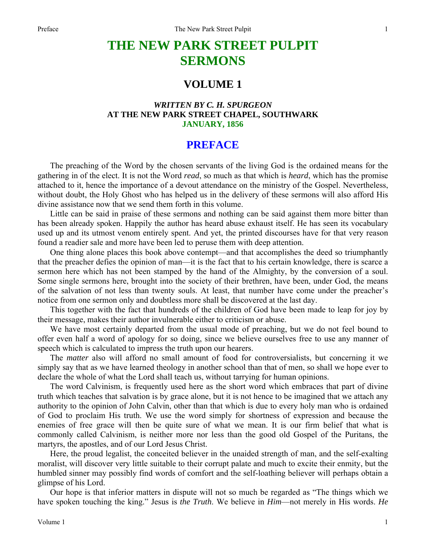# **THE NEW PARK STREET PULPIT SERMONS**

# **VOLUME 1**

### *WRITTEN BY C. H. SPURGEON*  **AT THE NEW PARK STREET CHAPEL, SOUTHWARK JANUARY, 1856**

## **PREFACE**

The preaching of the Word by the chosen servants of the living God is the ordained means for the gathering in of the elect. It is not the Word *read*, so much as that which is *heard*, which has the promise attached to it, hence the importance of a devout attendance on the ministry of the Gospel. Nevertheless, without doubt, the Holy Ghost who has helped us in the delivery of these sermons will also afford His divine assistance now that we send them forth in this volume.

Little can be said in praise of these sermons and nothing can be said against them more bitter than has been already spoken. Happily the author has heard abuse exhaust itself. He has seen its vocabulary used up and its utmost venom entirely spent. And yet, the printed discourses have for that very reason found a readier sale and more have been led to peruse them with deep attention.

One thing alone places this book above contempt—and that accomplishes the deed so triumphantly that the preacher defies the opinion of man—it is the fact that to his certain knowledge, there is scarce a sermon here which has not been stamped by the hand of the Almighty, by the conversion of a soul. Some single sermons here, brought into the society of their brethren, have been, under God, the means of the salvation of not less than twenty souls. At least, that number have come under the preacher's notice from one sermon only and doubtless more shall be discovered at the last day.

This together with the fact that hundreds of the children of God have been made to leap for joy by their message, makes their author invulnerable either to criticism or abuse.

We have most certainly departed from the usual mode of preaching, but we do not feel bound to offer even half a word of apology for so doing, since we believe ourselves free to use any manner of speech which is calculated to impress the truth upon our hearers.

The *matter* also will afford no small amount of food for controversialists, but concerning it we simply say that as we have learned theology in another school than that of men, so shall we hope ever to declare the whole of what the Lord shall teach us, without tarrying for human opinions.

The word Calvinism, is frequently used here as the short word which embraces that part of divine truth which teaches that salvation is by grace alone, but it is not hence to be imagined that we attach any authority to the opinion of John Calvin, other than that which is due to every holy man who is ordained of God to proclaim His truth. We use the word simply for shortness of expression and because the enemies of free grace will then be quite sure of what we mean. It is our firm belief that what is commonly called Calvinism, is neither more nor less than the good old Gospel of the Puritans, the martyrs, the apostles, and of our Lord Jesus Christ.

Here, the proud legalist, the conceited believer in the unaided strength of man, and the self-exalting moralist, will discover very little suitable to their corrupt palate and much to excite their enmity, but the humbled sinner may possibly find words of comfort and the self-loathing believer will perhaps obtain a glimpse of his Lord.

Our hope is that inferior matters in dispute will not so much be regarded as "The things which we have spoken touching the king." Jesus is *the Truth*. We believe in *Him*—not merely in His words. *He* 

1